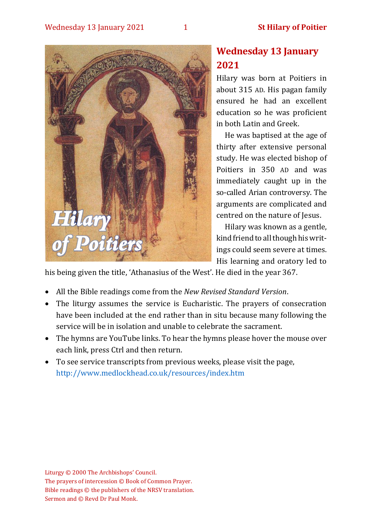

# **Wednesday 13 January 2021**

Hilary was born at Poitiers in about 315 AD. His pagan family ensured he had an excellent education so he was proficient in both Latin and Greek.

He was baptised at the age of thirty after extensive personal study. He was elected bishop of Poitiers in 350 AD and was immediately caught up in the so-called Arian controversy. The arguments are complicated and centred on the nature of Jesus.

Hilary was known as a gentle, kind friend to all though his writings could seem severe at times. His learning and oratory led to

his being given the title, 'Athanasius of the West'. He died in the year 367.

- All the Bible readings come from the *New Revised Standard Version*.
- The liturgy assumes the service is Eucharistic. The prayers of consecration have been included at the end rather than in situ because many following the service will be in isolation and unable to celebrate the sacrament.
- The hymns are YouTube links. To hear the hymns please hover the mouse over each link, press Ctrl and then return.
- To see service transcripts from previous weeks, please visit the page, <http://www.medlockhead.co.uk/resources/index.htm>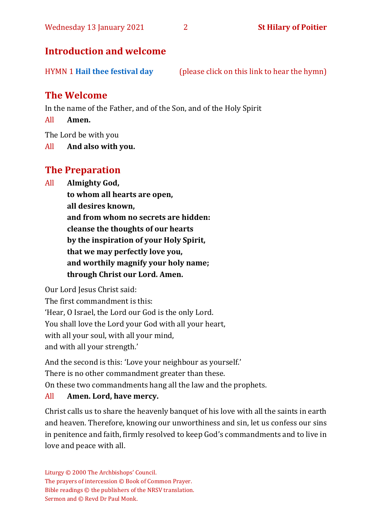# **Introduction and welcome**

HYMN 1 **Hail thee [festival day](https://www.youtube.com/watch?v=ydV1FkoeDWw)** (please click on this link to hear the hymn)

# **The Welcome**

In the name of the Father, and of the Son, and of the Holy Spirit

All **Amen.**

The Lord be with you

All **And also with you.**

# **The Preparation**

All **Almighty God,**

**to whom all hearts are open, all desires known, and from whom no secrets are hidden: cleanse the thoughts of our hearts by the inspiration of your Holy Spirit, that we may perfectly love you, and worthily magnify your holy name; through Christ our Lord. Amen.**

Our Lord Jesus Christ said:

The first commandment is this: 'Hear, O Israel, the Lord our God is the only Lord. You shall love the Lord your God with all your heart, with all your soul, with all your mind, and with all your strength.'

And the second is this: 'Love your neighbour as yourself.' There is no other commandment greater than these. On these two commandments hang all the law and the prophets.

#### All **Amen. Lord, have mercy.**

Christ calls us to share the heavenly banquet of his love with all the saints in earth and heaven. Therefore, knowing our unworthiness and sin, let us confess our sins in penitence and faith, firmly resolved to keep God's commandments and to live in love and peace with all.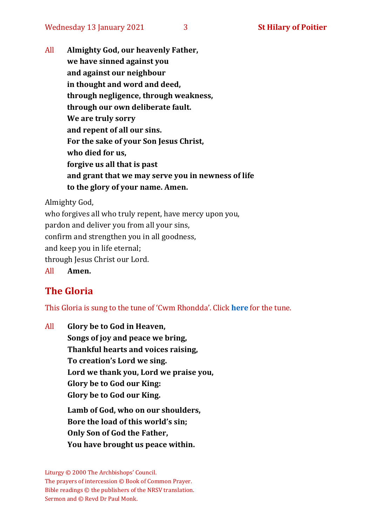All **Almighty God, our heavenly Father, we have sinned against you and against our neighbour in thought and word and deed, through negligence, through weakness, through our own deliberate fault. We are truly sorry and repent of all our sins. For the sake of your Son Jesus Christ, who died for us, forgive us all that is past and grant that we may serve you in newness of life to the glory of your name. Amen.**

Almighty God,

who forgives all who truly repent, have mercy upon you, pardon and deliver you from all your sins, confirm and strengthen you in all goodness, and keep you in life eternal; through Jesus Christ our Lord. All **Amen.**

# **The Gloria**

This Gloria is sung to the tune of 'Cwm Rhondda'. Click **[here](about:blank)** for the tune.

All **Glory be to God in Heaven, Songs of joy and peace we bring, Thankful hearts and voices raising, To creation's Lord we sing. Lord we thank you, Lord we praise you, Glory be to God our King: Glory be to God our King.**

> **Lamb of God, who on our shoulders, Bore the load of this world's sin; Only Son of God the Father, You have brought us peace within.**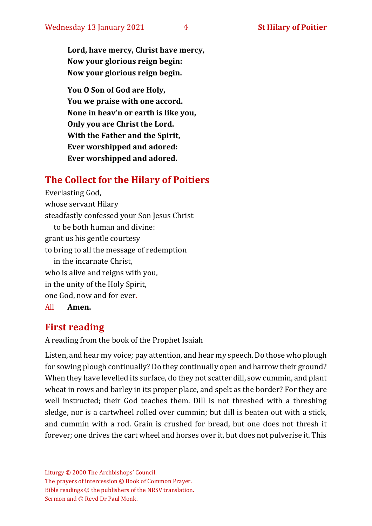**Lord, have mercy, Christ have mercy, Now your glorious reign begin: Now your glorious reign begin.**

**You O Son of God are Holy, You we praise with one accord. None in heav'n or earth is like you, Only you are Christ the Lord. With the Father and the Spirit, Ever worshipped and adored: Ever worshipped and adored.**

# **The Collect for the Hilary of Poitiers**

Everlasting God, whose servant Hilary steadfastly confessed your Son Jesus Christ to be both human and divine: grant us his gentle courtesy to bring to all the message of redemption in the incarnate Christ, who is alive and reigns with you, in the unity of the Holy Spirit, one God, now and for ever. All **Amen.**

# **First reading**

A reading from the book of the Prophet Isaiah

Listen, and hear my voice; pay attention, and hear my speech. Do those who plough for sowing plough continually? Do they continually open and harrow their ground? When they have levelled its surface, do they not scatter dill, sow cummin, and plant wheat in rows and barley in its proper place, and spelt as the border? For they are well instructed; their God teaches them. Dill is not threshed with a threshing sledge, nor is a cartwheel rolled over cummin; but dill is beaten out with a stick, and cummin with a rod. Grain is crushed for bread, but one does not thresh it forever; one drives the cart wheel and horses over it, but does not pulverise it. This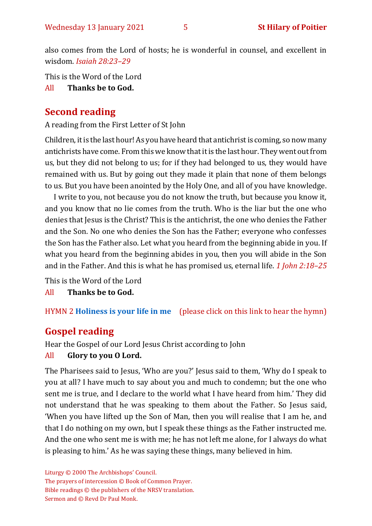also comes from the Lord of hosts; he is wonderful in counsel, and excellent in wisdom. *Isaiah 28:23–29*

This is the Word of the Lord

All **Thanks be to God.**

# **Second reading**

A reading from the First Letter of St John

Children, it is the last hour! As you have heard that antichrist is coming, so now many antichrists have come. From this we know that it is the last hour. They went out from us, but they did not belong to us; for if they had belonged to us, they would have remained with us. But by going out they made it plain that none of them belongs to us. But you have been anointed by the Holy One, and all of you have knowledge.

I write to you, not because you do not know the truth, but because you know it, and you know that no lie comes from the truth. Who is the liar but the one who denies that Jesus is the Christ? This is the antichrist, the one who denies the Father and the Son. No one who denies the Son has the Father; everyone who confesses the Son has the Father also. Let what you heard from the beginning abide in you. If what you heard from the beginning abides in you, then you will abide in the Son and in the Father. And this is what he has promised us, eternal life. *1 John 2:18–25*

This is the Word of the Lord

All **Thanks be to God.**

HYMN 2 **[Holiness is your life in me](https://www.youtube.com/watch?v=vJDEgUks4ZI)** (please click on this link to hear the hymn)

# **Gospel reading**

Hear the Gospel of our Lord Jesus Christ according to John

#### All **Glory to you O Lord.**

The Pharisees said to Jesus, 'Who are you?' Jesus said to them, 'Why do I speak to you at all? I have much to say about you and much to condemn; but the one who sent me is true, and I declare to the world what I have heard from him.' They did not understand that he was speaking to them about the Father. So Jesus said, 'When you have lifted up the Son of Man, then you will realise that I am he, and that I do nothing on my own, but I speak these things as the Father instructed me. And the one who sent me is with me; he has not left me alone, for I always do what is pleasing to him.' As he was saying these things, many believed in him.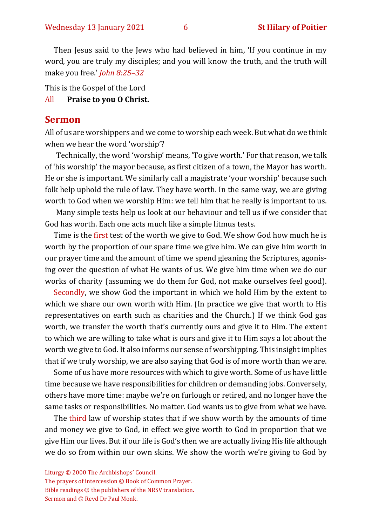Then Jesus said to the Jews who had believed in him, 'If you continue in my word, you are truly my disciples; and you will know the truth, and the truth will make you free.' *John 8:25–32*

This is the Gospel of the Lord All **Praise to you O Christ.** 

### **Sermon**

All of us are worshippers and we come to worship each week. But what do we think when we hear the word 'worship'?

Technically, the word 'worship' means, 'To give worth.' For that reason, we talk of 'his worship' the mayor because, as first citizen of a town, the Mayor has worth. He or she is important. We similarly call a magistrate 'your worship' because such folk help uphold the rule of law. They have worth. In the same way, we are giving worth to God when we worship Him: we tell him that he really is important to us.

Many simple tests help us look at our behaviour and tell us if we consider that God has worth. Each one acts much like a simple litmus tests.

Time is the first test of the worth we give to God. We show God how much he is worth by the proportion of our spare time we give him. We can give him worth in our prayer time and the amount of time we spend gleaning the Scriptures, agonising over the question of what He wants of us. We give him time when we do our works of charity (assuming we do them for God, not make ourselves feel good).

Secondly, we show God the important in which we hold Him by the extent to which we share our own worth with Him. (In practice we give that worth to His representatives on earth such as charities and the Church.) If we think God gas worth, we transfer the worth that's currently ours and give it to Him. The extent to which we are willing to take what is ours and give it to Him says a lot about the worth we give to God. It also informs our sense of worshipping. This insight implies that if we truly worship, we are also saying that God is of more worth than we are.

Some of us have more resources with which to give worth. Some of us have little time because we have responsibilities for children or demanding jobs. Conversely, others have more time: maybe we're on furlough or retired, and no longer have the same tasks or responsibilities. No matter. God wants us to give from what we have.

The third law of worship states that if we show worth by the amounts of time and money we give to God, in effect we give worth to God in proportion that we give Him our lives. But if our life is God's then we are actually living His life although we do so from within our own skins. We show the worth we're giving to God by

The prayers of intercession © Book of Common Prayer. Bible readings © the publishers of the NRSV translation. Sermon and © Revd Dr Paul Monk.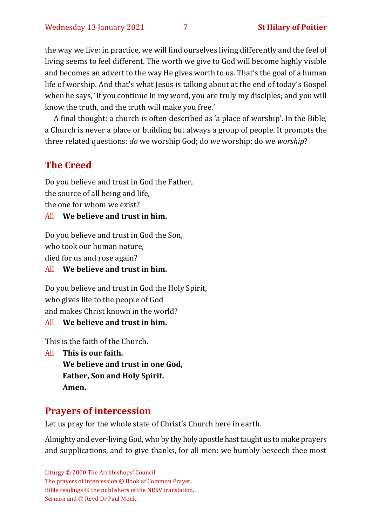the way we live: in practice, we will find ourselves living differently and the feel of living seems to feel different. The worth we give to God will become highly visible and becomes an advert to the way He gives worth to us. That's the goal of a human life of worship. And that's what Jesus is talking about at the end of today's Gospel when he says, 'If you continue in my word, you are truly my disciples; and you will know the truth, and the truth will make you free.'

A final thought: a church is often described as 'a place of worship'. In the Bible, a Church is never a place or building but always a group of people. It prompts the three related questions: *do* we worship God; do *we* worship; do we *worship*?

# **The Creed**

Do you believe and trust in God the Father, the source of all being and life, the one for whom we exist?

# All **We believe and trust in him.**

Do you believe and trust in God the Son, who took our human nature, died for us and rose again?

#### All **We believe and trust in him.**

Do you believe and trust in God the Holy Spirit, who gives life to the people of God and makes Christ known in the world?

#### All **We believe and trust in him.**

This is the faith of the Church.

All **This is our faith.**

**We believe and trust in one God, Father, Son and Holy Spirit. Amen.**

# **Prayers of intercession**

Let us pray for the whole state of Christ's Church here in earth.

Almighty and ever-living God, who by thy holy apostle hast taught us to make prayers and supplications, and to give thanks, for all men: we humbly beseech thee most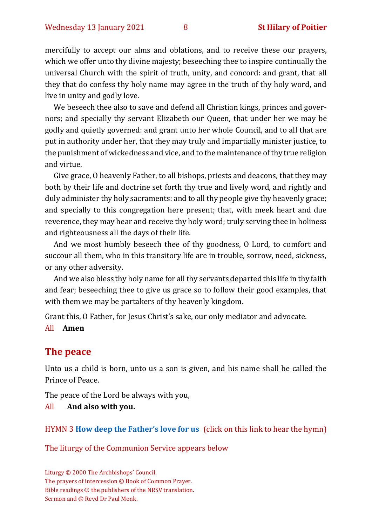mercifully to accept our alms and oblations, and to receive these our prayers, which we offer unto thy divine majesty; beseeching thee to inspire continually the universal Church with the spirit of truth, unity, and concord: and grant, that all they that do confess thy holy name may agree in the truth of thy holy word, and live in unity and godly love.

We beseech thee also to save and defend all Christian kings, princes and governors; and specially thy servant Elizabeth our Queen, that under her we may be godly and quietly governed: and grant unto her whole Council, and to all that are put in authority under her, that they may truly and impartially minister justice, to the punishment of wickedness and vice, and to the maintenance of thy true religion and virtue.

Give grace, O heavenly Father, to all bishops, priests and deacons, that they may both by their life and doctrine set forth thy true and lively word, and rightly and duly administer thy holy sacraments: and to all thy people give thy heavenly grace; and specially to this congregation here present; that, with meek heart and due reverence, they may hear and receive thy holy word; truly serving thee in holiness and righteousness all the days of their life.

And we most humbly beseech thee of thy goodness, O Lord, to comfort and succour all them, who in this transitory life are in trouble, sorrow, need, sickness, or any other adversity.

And we also bless thy holy name for all thy servants departed this life in thy faith and fear; beseeching thee to give us grace so to follow their good examples, that with them we may be partakers of thy heavenly kingdom.

Grant this, O Father, for Jesus Christ's sake, our only mediator and advocate. All **Amen**

#### **The peace**

Unto us a child is born, unto us a son is given, and his name shall be called the Prince of Peace.

The peace of the Lord be always with you,

All **And also with you.**

HYMN 3 **[How deep the Father](https://www.youtube.com/watch?v=e9FG12eTSbI)'s love for us** (click on this link to hear the hymn)

The liturgy of the Communion Service appears below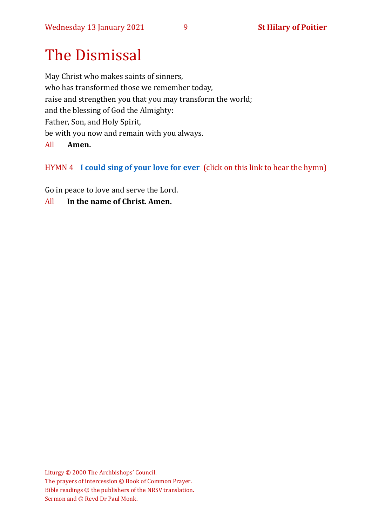# The Dismissal

May Christ who makes saints of sinners, who has transformed those we remember today, raise and strengthen you that you may transform the world; and the blessing of God the Almighty: Father, Son, and Holy Spirit, be with you now and remain with you always.

#### All **Amen.**

#### HYMN 4 **[I could sing of your love for ever](https://www.youtube.com/watch?v=zeCwwaciAA8)** (click on this link to hear the hymn)

Go in peace to love and serve the Lord.

All **In the name of Christ. Amen.**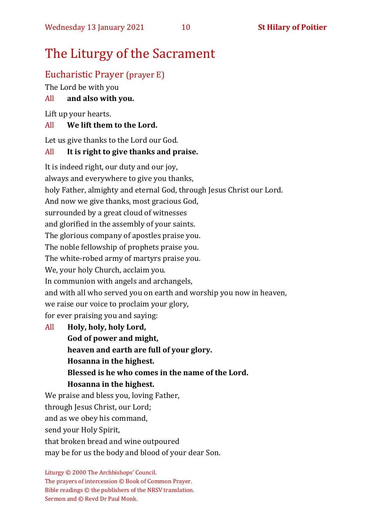# The Liturgy of the Sacrament

# Eucharistic Prayer (prayer E)

The Lord be with you

# All **and also with you.**

Lift up your hearts.

### All **We lift them to the Lord.**

Let us give thanks to the Lord our God.

# All **It is right to give thanks and praise.**

It is indeed right, our duty and our joy,

always and everywhere to give you thanks,

holy Father, almighty and eternal God, through Jesus Christ our Lord.

And now we give thanks, most gracious God,

surrounded by a great cloud of witnesses

and glorified in the assembly of your saints.

The glorious company of apostles praise you.

The noble fellowship of prophets praise you.

The white-robed army of martyrs praise you.

We, your holy Church, acclaim you.

In communion with angels and archangels,

and with all who served you on earth and worship you now in heaven,

we raise our voice to proclaim your glory,

for ever praising you and saying:

All **Holy, holy, holy Lord, God of power and might, heaven and earth are full of your glory. Hosanna in the highest. Blessed is he who comes in the name of the Lord. Hosanna in the highest.**

We praise and bless you, loving Father, through Jesus Christ, our Lord; and as we obey his command, send your Holy Spirit, that broken bread and wine outpoured may be for us the body and blood of your dear Son.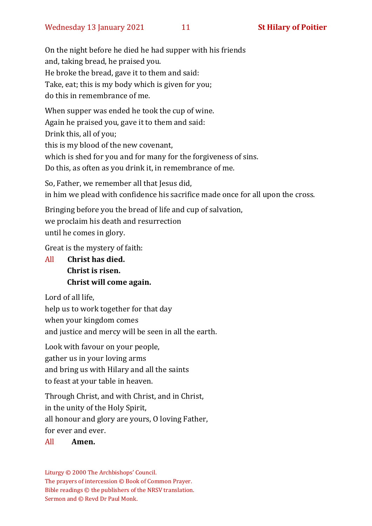On the night before he died he had supper with his friends and, taking bread, he praised you. He broke the bread, gave it to them and said: Take, eat; this is my body which is given for you; do this in remembrance of me.

When supper was ended he took the cup of wine. Again he praised you, gave it to them and said: Drink this, all of you; this is my blood of the new covenant, which is shed for you and for many for the forgiveness of sins. Do this, as often as you drink it, in remembrance of me.

So, Father, we remember all that Jesus did, in him we plead with confidence his sacrifice made once for all upon the cross.

Bringing before you the bread of life and cup of salvation, we proclaim his death and resurrection until he comes in glory.

Great is the mystery of faith:

All **Christ has died. Christ is risen. Christ will come again.**

Lord of all life,

help us to work together for that day

when your kingdom comes

and justice and mercy will be seen in all the earth.

Look with favour on your people, gather us in your loving arms and bring us with Hilary and all the saints to feast at your table in heaven.

Through Christ, and with Christ, and in Christ, in the unity of the Holy Spirit, all honour and glory are yours, O loving Father, for ever and ever.

All **Amen.**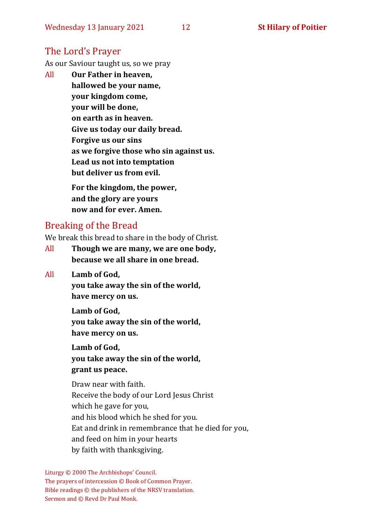# The Lord's Prayer

As our Saviour taught us, so we pray

All **Our Father in heaven, hallowed be your name, your kingdom come, your will be done, on earth as in heaven. Give us today our daily bread. Forgive us our sins as we forgive those who sin against us. Lead us not into temptation but deliver us from evil. For the kingdom, the power, and the glory are yours**

Breaking of the Bread

We break this bread to share in the body of Christ.

**now and for ever. Amen.**

- All **Though we are many, we are one body, because we all share in one bread.**
- All **Lamb of God,**

**you take away the sin of the world, have mercy on us.**

**Lamb of God, you take away the sin of the world, have mercy on us.**

**Lamb of God, you take away the sin of the world, grant us peace.**

Draw near with faith. Receive the body of our Lord Jesus Christ which he gave for you, and his blood which he shed for you. Eat and drink in remembrance that he died for you, and feed on him in your hearts by faith with thanksgiving.